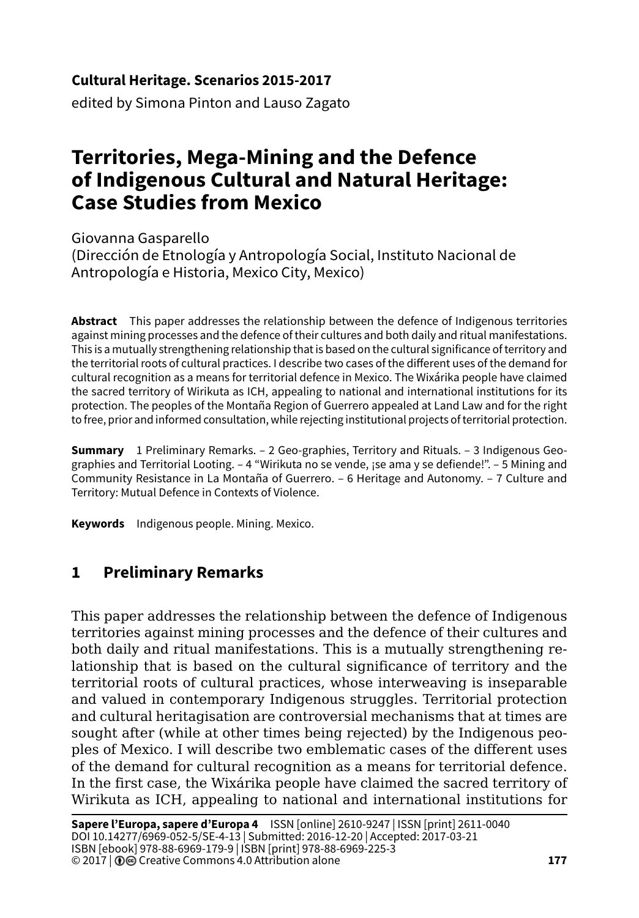### **Cultural Heritage. Scenarios 2015-2017**

edited by Simona Pinton and Lauso Zagato

# **Territories, Mega-Mining and the Defence of Indigenous Cultural and Natural Heritage: Case Studies from Mexico**

Giovanna Gasparello

(Dirección de Etnología y Antropología Social, Instituto Nacional de Antropología e Historia, Mexico City, Mexico)

**Abstract** This paper addresses the relationship between the defence of Indigenous territories against mining processes and the defence of their cultures and both daily and ritual manifestations. This is a mutually strengthening relationship that is based on the cultural significance of territory and the territorial roots of cultural practices. I describe two cases of the different uses of the demand for cultural recognition as a means for territorial defence in Mexico. The Wixárika people have claimed the sacred territory of Wirikuta as ICH, appealing to national and international institutions for its protection. The peoples of the Montaña Region of Guerrero appealed at Land Law and for the right to free, prior and informed consultation, while rejecting institutional projects of territorial protection.

**Summary** 1 Preliminary Remarks. – 2 Geo-graphies, Territory and Rituals. – 3 Indigenous Geographies and Territorial Looting. – 4 "Wirikuta no se vende, ¡se ama y se defiende!". – 5 Mining and Community Resistance in La Montaña of Guerrero. – 6 Heritage and Autonomy. – 7 Culture and Territory: Mutual Defence in Contexts of Violence.

**Keywords** Indigenous people. Mining. Mexico.

## **1 Preliminary Remarks**

This paper addresses the relationship between the defence of Indigenous territories against mining processes and the defence of their cultures and both daily and ritual manifestations. This is a mutually strengthening relationship that is based on the cultural significance of territory and the territorial roots of cultural practices, whose interweaving is inseparable and valued in contemporary Indigenous struggles. Territorial protection and cultural heritagisation are controversial mechanisms that at times are sought after (while at other times being rejected) by the Indigenous peoples of Mexico. I will describe two emblematic cases of the different uses of the demand for cultural recognition as a means for territorial defence. In the first case, the Wixárika people have claimed the sacred territory of Wirikuta as ICH, appealing to national and international institutions for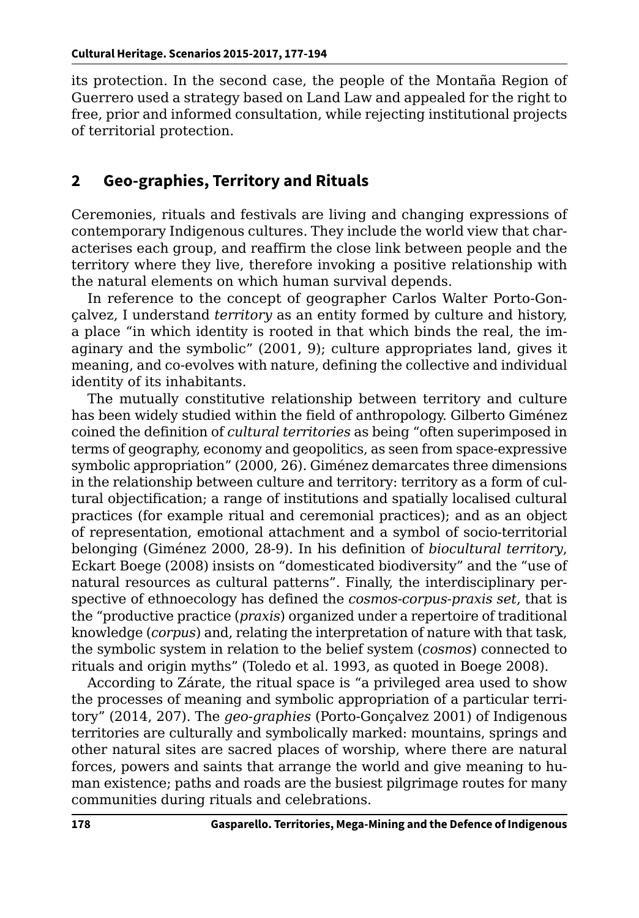its protection. In the second case, the people of the Montaña Region of Guerrero used a strategy based on Land Law and appealed for the right to free, prior and informed consultation, while rejecting institutional projects of territorial protection.

#### **2 Geo-graphies, Territory and Rituals**

Ceremonies, rituals and festivals are living and changing expressions of contemporary Indigenous cultures. They include the world view that characterises each group, and reaffirm the close link between people and the territory where they live, therefore invoking a positive relationship with the natural elements on which human survival depends.

In reference to the concept of geographer Carlos Walter Porto-Gonçalvez, I understand *territory* as an entity formed by culture and history, a place "in which identity is rooted in that which binds the real, the imaginary and the symbolic" (2001, 9); culture appropriates land, gives it meaning, and co-evolves with nature, defining the collective and individual identity of its inhabitants.

The mutually constitutive relationship between territory and culture has been widely studied within the field of anthropology. Gilberto Giménez coined the definition of *cultural territories* as being "often superimposed in terms of geography, economy and geopolitics, as seen from space-expressive symbolic appropriation" (2000, 26). Giménez demarcates three dimensions in the relationship between culture and territory: territory as a form of cultural objectification; a range of institutions and spatially localised cultural practices (for example ritual and ceremonial practices); and as an object of representation, emotional attachment and a symbol of socio-territorial belonging (Giménez 2000, 28-9). In his definition of *biocultural territory*, Eckart Boege (2008) insists on "domesticated biodiversity" and the "use of natural resources as cultural patterns". Finally, the interdisciplinary perspective of ethnoecology has defined the *cosmos-corpus-praxis set*, that is the "productive practice (*praxis*) organized under a repertoire of traditional knowledge (*corpus*) and, relating the interpretation of nature with that task, the symbolic system in relation to the belief system (*cosmos*) connected to rituals and origin myths" (Toledo et al. 1993, as quoted in Boege 2008).

According to Zárate, the ritual space is "a privileged area used to show the processes of meaning and symbolic appropriation of a particular territory" (2014, 207). The *geo-graphies* (Porto-Gonçalvez 2001) of Indigenous territories are culturally and symbolically marked: mountains, springs and other natural sites are sacred places of worship, where there are natural forces, powers and saints that arrange the world and give meaning to human existence; paths and roads are the busiest pilgrimage routes for many communities during rituals and celebrations.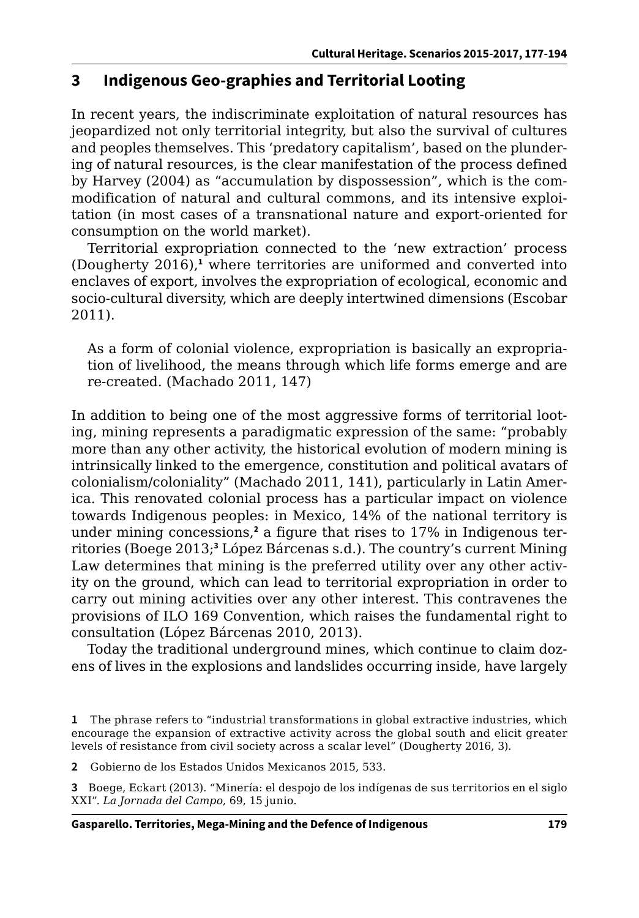## **3 Indigenous Geo-graphies and Territorial Looting**

In recent years, the indiscriminate exploitation of natural resources has jeopardized not only territorial integrity, but also the survival of cultures and peoples themselves. This 'predatory capitalism', based on the plundering of natural resources, is the clear manifestation of the process defined by Harvey (2004) as "accumulation by dispossession", which is the commodification of natural and cultural commons, and its intensive exploitation (in most cases of a transnational nature and export-oriented for consumption on the world market).

Territorial expropriation connected to the 'new extraction' process (Dougherty 2016),**<sup>1</sup>** where territories are uniformed and converted into enclaves of export, involves the expropriation of ecological, economic and socio-cultural diversity, which are deeply intertwined dimensions (Escobar 2011).

As a form of colonial violence, expropriation is basically an expropriation of livelihood, the means through which life forms emerge and are re-created. (Machado 2011, 147)

In addition to being one of the most aggressive forms of territorial looting, mining represents a paradigmatic expression of the same: "probably more than any other activity, the historical evolution of modern mining is intrinsically linked to the emergence, constitution and political avatars of colonialism/coloniality" (Machado 2011, 141), particularly in Latin America. This renovated colonial process has a particular impact on violence towards Indigenous peoples: in Mexico, 14% of the national territory is under mining concessions,**<sup>2</sup>** a figure that rises to 17% in Indigenous territories (Boege 2013;**<sup>3</sup>** López Bárcenas s.d.). The country's current Mining Law determines that mining is the preferred utility over any other activity on the ground, which can lead to territorial expropriation in order to carry out mining activities over any other interest. This contravenes the provisions of ILO 169 Convention, which raises the fundamental right to consultation (López Bárcenas 2010, 2013).

Today the traditional underground mines, which continue to claim dozens of lives in the explosions and landslides occurring inside, have largely

**<sup>1</sup>** The phrase refers to "industrial transformations in global extractive industries, which encourage the expansion of extractive activity across the global south and elicit greater levels of resistance from civil society across a scalar level" (Dougherty 2016, 3).

**<sup>2</sup>** Gobierno de los Estados Unidos Mexicanos 2015, 533.

**<sup>3</sup>** Boege, Eckart (2013). "Minería: el despojo de los indígenas de sus territorios en el siglo XXI". *La Jornada del Campo*, 69, 15 junio.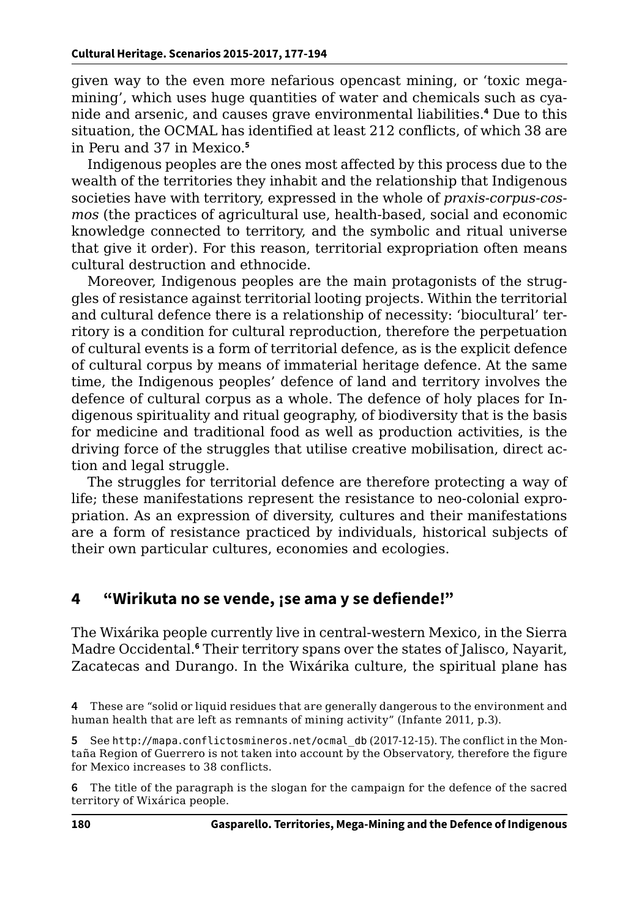given way to the even more nefarious opencast mining, or 'toxic megamining', which uses huge quantities of water and chemicals such as cyanide and arsenic, and causes grave environmental liabilities.**<sup>4</sup>** Due to this situation, the OCMAL has identified at least 212 conflicts, of which 38 are in Peru and 37 in Mexico.**<sup>5</sup>**

Indigenous peoples are the ones most affected by this process due to the wealth of the territories they inhabit and the relationship that Indigenous societies have with territory, expressed in the whole of *praxis-corpus-cosmos* (the practices of agricultural use, health-based, social and economic knowledge connected to territory, and the symbolic and ritual universe that give it order). For this reason, territorial expropriation often means cultural destruction and ethnocide.

Moreover, Indigenous peoples are the main protagonists of the struggles of resistance against territorial looting projects. Within the territorial and cultural defence there is a relationship of necessity: 'biocultural' territory is a condition for cultural reproduction, therefore the perpetuation of cultural events is a form of territorial defence, as is the explicit defence of cultural corpus by means of immaterial heritage defence. At the same time, the Indigenous peoples' defence of land and territory involves the defence of cultural corpus as a whole. The defence of holy places for Indigenous spirituality and ritual geography, of biodiversity that is the basis for medicine and traditional food as well as production activities, is the driving force of the struggles that utilise creative mobilisation, direct action and legal struggle.

The struggles for territorial defence are therefore protecting a way of life; these manifestations represent the resistance to neo-colonial expropriation. As an expression of diversity, cultures and their manifestations are a form of resistance practiced by individuals, historical subjects of their own particular cultures, economies and ecologies.

#### **4 "Wirikuta no se vende, ¡se ama y se defiende!"**

The Wixárika people currently live in central-western Mexico, in the Sierra Madre Occidental.**<sup>6</sup>** Their territory spans over the states of Jalisco, Nayarit, Zacatecas and Durango. In the Wixárika culture, the spiritual plane has

**6** The title of the paragraph is the slogan for the campaign for the defence of the sacred territory of Wixárica people.

**<sup>4</sup>** These are "solid or liquid residues that are generally dangerous to the environment and human health that are left as remnants of mining activity" (Infante 2011, p.3).

**<sup>5</sup>** See [http://mapa.conflictosmineros.net/ocmal\\_db](http://mapa.conflictosmineros.net/ocmal_db) (2017-12-15). The conflict in the Montaña Region of Guerrero is not taken into account by the Observatory, therefore the figure for Mexico increases to 38 conflicts.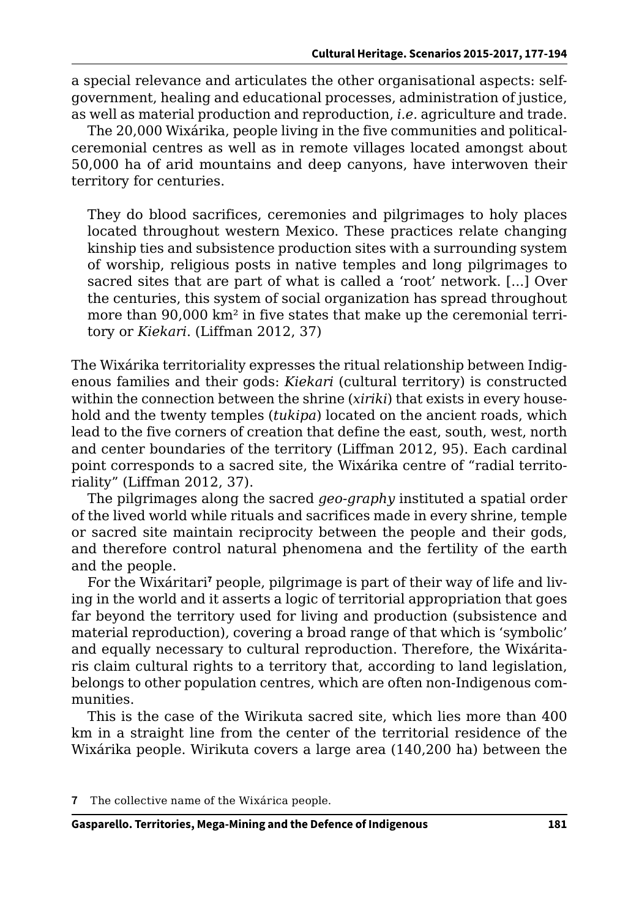a special relevance and articulates the other organisational aspects: selfgovernment, healing and educational processes, administration of justice, as well as material production and reproduction, *i.e.* agriculture and trade.

The 20,000 Wixárika, people living in the five communities and politicalceremonial centres as well as in remote villages located amongst about 50,000 ha of arid mountains and deep canyons, have interwoven their territory for centuries.

They do blood sacrifices, ceremonies and pilgrimages to holy places located throughout western Mexico. These practices relate changing kinship ties and subsistence production sites with a surrounding system of worship, religious posts in native temples and long pilgrimages to sacred sites that are part of what is called a 'root' network. [...] Over the centuries, this system of social organization has spread throughout more than 90,000 km² in five states that make up the ceremonial territory or *Kiekari*. (Liffman 2012, 37)

The Wixárika territoriality expresses the ritual relationship between Indigenous families and their gods: *Kiekari* (cultural territory) is constructed within the connection between the shrine (*xiriki*) that exists in every household and the twenty temples (*tukipa*) located on the ancient roads, which lead to the five corners of creation that define the east, south, west, north and center boundaries of the territory (Liffman 2012, 95). Each cardinal point corresponds to a sacred site, the Wixárika centre of "radial territoriality" (Liffman 2012, 37).

The pilgrimages along the sacred *geo-graphy* instituted a spatial order of the lived world while rituals and sacrifices made in every shrine, temple or sacred site maintain reciprocity between the people and their gods, and therefore control natural phenomena and the fertility of the earth and the people.

For the Wixáritari<sup>7</sup> people, pilgrimage is part of their way of life and living in the world and it asserts a logic of territorial appropriation that goes far beyond the territory used for living and production (subsistence and material reproduction), covering a broad range of that which is 'symbolic' and equally necessary to cultural reproduction. Therefore, the Wixáritaris claim cultural rights to a territory that, according to land legislation, belongs to other population centres, which are often non-Indigenous communities.

This is the case of the Wirikuta sacred site, which lies more than 400 km in a straight line from the center of the territorial residence of the Wixárika people. Wirikuta covers a large area (140,200 ha) between the

**<sup>7</sup>** The collective name of the Wixárica people.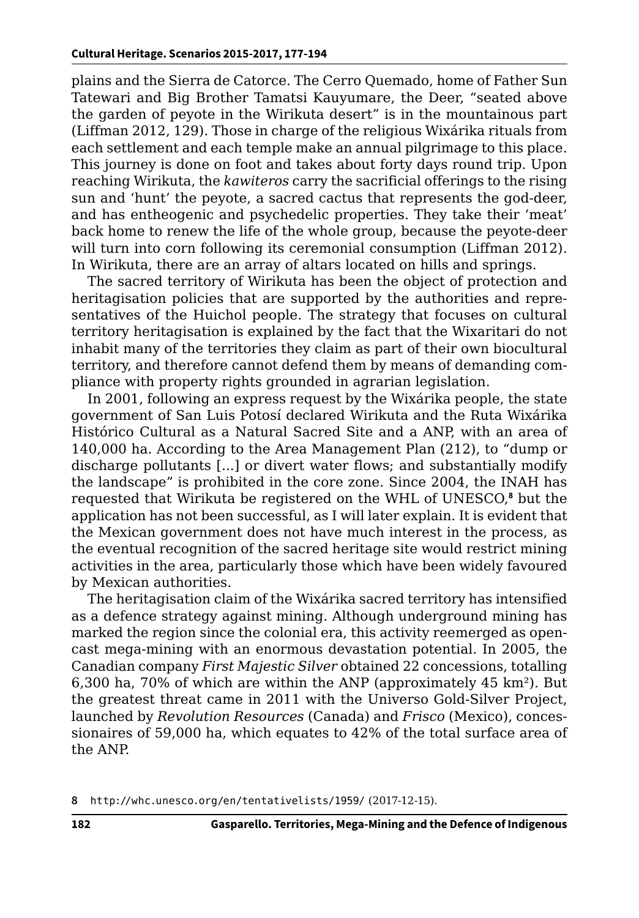plains and the Sierra de Catorce. The Cerro Quemado, home of Father Sun Tatewari and Big Brother Tamatsi Kauyumare, the Deer, "seated above the garden of peyote in the Wirikuta desert" is in the mountainous part (Liffman 2012, 129). Those in charge of the religious Wixárika rituals from each settlement and each temple make an annual pilgrimage to this place. This journey is done on foot and takes about forty days round trip. Upon reaching Wirikuta, the *kawiteros* carry the sacrificial offerings to the rising sun and 'hunt' the peyote, a sacred cactus that represents the god-deer, and has entheogenic and psychedelic properties. They take their 'meat' back home to renew the life of the whole group, because the peyote-deer will turn into corn following its ceremonial consumption (Liffman 2012). In Wirikuta, there are an array of altars located on hills and springs.

The sacred territory of Wirikuta has been the object of protection and heritagisation policies that are supported by the authorities and representatives of the Huichol people. The strategy that focuses on cultural territory heritagisation is explained by the fact that the Wixaritari do not inhabit many of the territories they claim as part of their own biocultural territory, and therefore cannot defend them by means of demanding compliance with property rights grounded in agrarian legislation.

In 2001, following an express request by the Wixárika people, the state government of San Luis Potosí declared Wirikuta and the Ruta Wixárika Histórico Cultural as a Natural Sacred Site and a ANP, with an area of 140,000 ha. According to the Area Management Plan (212), to "dump or discharge pollutants [...] or divert water flows; and substantially modify the landscape" is prohibited in the core zone. Since 2004, the INAH has requested that Wirikuta be registered on the WHL of UNESCO,**<sup>8</sup>** but the application has not been successful, as I will later explain. It is evident that the Mexican government does not have much interest in the process, as the eventual recognition of the sacred heritage site would restrict mining activities in the area, particularly those which have been widely favoured by Mexican authorities.

The heritagisation claim of the Wixárika sacred territory has intensified as a defence strategy against mining. Although underground mining has marked the region since the colonial era, this activity reemerged as opencast mega-mining with an enormous devastation potential. In 2005, the Canadian company *First Majestic Silver* obtained 22 concessions, totalling 6,300 ha, 70% of which are within the ANP (approximately  $45 \text{ km}^2$ ). But the greatest threat came in 2011 with the Universo Gold-Silver Project, launched by *Revolution Resources* (Canada) and *Frisco* (Mexico), concessionaires of 59,000 ha, which equates to 42% of the total surface area of the ANP.

**<sup>8</sup>** <http://whc.unesco.org/en/tentativelists/1959/> (2017-12-15).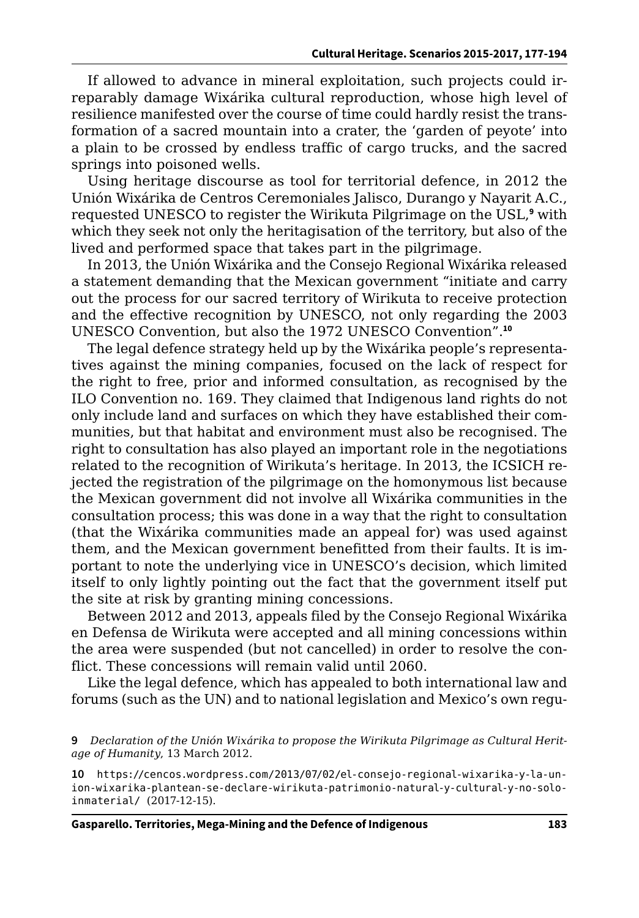If allowed to advance in mineral exploitation, such projects could irreparably damage Wixárika cultural reproduction, whose high level of resilience manifested over the course of time could hardly resist the transformation of a sacred mountain into a crater, the 'garden of peyote' into a plain to be crossed by endless traffic of cargo trucks, and the sacred springs into poisoned wells.

Using heritage discourse as tool for territorial defence, in 2012 the Unión Wixárika de Centros Ceremoniales Jalisco, Durango y Nayarit A.C., requested UNESCO to register the Wirikuta Pilgrimage on the USL,**<sup>9</sup>** with which they seek not only the heritagisation of the territory, but also of the lived and performed space that takes part in the pilgrimage.

In 2013, the Unión Wixárika and the Consejo Regional Wixárika released a statement demanding that the Mexican government "initiate and carry out the process for our sacred territory of Wirikuta to receive protection and the effective recognition by UNESCO, not only regarding the 2003 UNESCO Convention, but also the 1972 UNESCO Convention".**<sup>10</sup>**

The legal defence strategy held up by the Wixárika people's representatives against the mining companies, focused on the lack of respect for the right to free, prior and informed consultation, as recognised by the ILO Convention no. 169. They claimed that Indigenous land rights do not only include land and surfaces on which they have established their communities, but that habitat and environment must also be recognised. The right to consultation has also played an important role in the negotiations related to the recognition of Wirikuta's heritage. In 2013, the ICSICH rejected the registration of the pilgrimage on the homonymous list because the Mexican government did not involve all Wixárika communities in the consultation process; this was done in a way that the right to consultation (that the Wixárika communities made an appeal for) was used against them, and the Mexican government benefitted from their faults. It is important to note the underlying vice in UNESCO's decision, which limited itself to only lightly pointing out the fact that the government itself put the site at risk by granting mining concessions.

Between 2012 and 2013, appeals filed by the Consejo Regional Wixárika en Defensa de Wirikuta were accepted and all mining concessions within the area were suspended (but not cancelled) in order to resolve the conflict. These concessions will remain valid until 2060.

Like the legal defence, which has appealed to both international law and forums (such as the UN) and to national legislation and Mexico's own regu-

**<sup>9</sup>** *Declaration of the Unión Wixárika to propose the Wirikuta Pilgrimage as Cultural Heritage of Humanity*, 13 March 2012.

**<sup>10</sup>** [https://cencos.wordpress.com/2013/07/02/el-consejo-regional-wixarika-y-la-un](https://cencos.wordpress.com/2013/07/02/el-consejo-regional-wixarika-y-la-union-wixarika-plantean-se-declare-wirikuta-patrimonio-natural-y-cultural-y-no-solo-inmaterial/ )[ion-wixarika-plantean-se-declare-wirikuta-patrimonio-natural-y-cultural-y-no-solo](https://cencos.wordpress.com/2013/07/02/el-consejo-regional-wixarika-y-la-union-wixarika-plantean-se-declare-wirikuta-patrimonio-natural-y-cultural-y-no-solo-inmaterial/ )[inmaterial/](https://cencos.wordpress.com/2013/07/02/el-consejo-regional-wixarika-y-la-union-wixarika-plantean-se-declare-wirikuta-patrimonio-natural-y-cultural-y-no-solo-inmaterial/ ) (2017-12-15).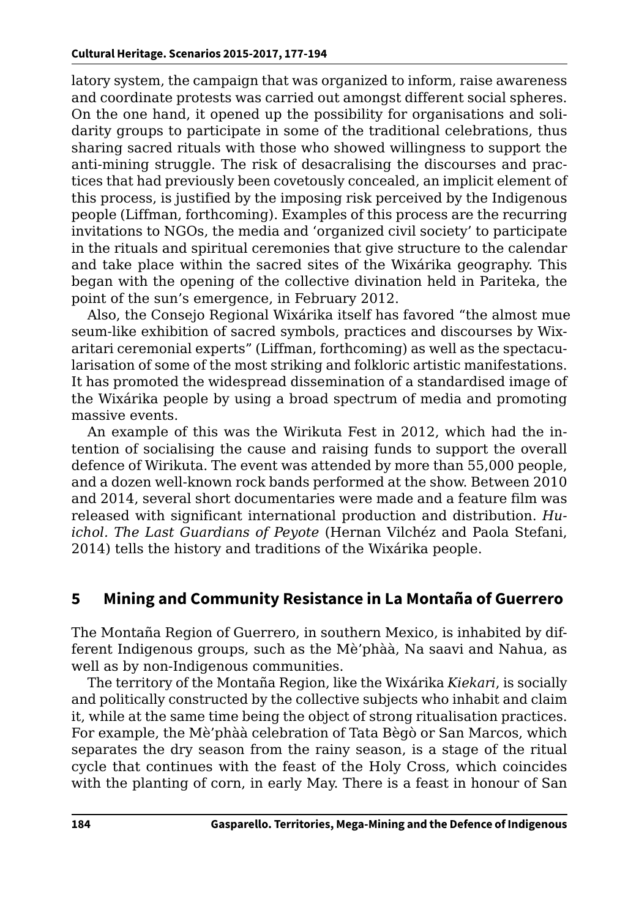latory system, the campaign that was organized to inform, raise awareness and coordinate protests was carried out amongst different social spheres. On the one hand, it opened up the possibility for organisations and solidarity groups to participate in some of the traditional celebrations, thus sharing sacred rituals with those who showed willingness to support the anti-mining struggle. The risk of desacralising the discourses and practices that had previously been covetously concealed, an implicit element of this process, is justified by the imposing risk perceived by the Indigenous people (Liffman, forthcoming). Examples of this process are the recurring invitations to NGOs, the media and 'organized civil society' to participate in the rituals and spiritual ceremonies that give structure to the calendar and take place within the sacred sites of the Wixárika geography. This began with the opening of the collective divination held in Pariteka, the point of the sun's emergence, in February 2012.

Also, the Consejo Regional Wixárika itself has favored "the almost mue seum-like exhibition of sacred symbols, practices and discourses by Wixaritari ceremonial experts" (Liffman, forthcoming) as well as the spectacularisation of some of the most striking and folkloric artistic manifestations. It has promoted the widespread dissemination of a standardised image of the Wixárika people by using a broad spectrum of media and promoting massive events.

An example of this was the Wirikuta Fest in 2012, which had the intention of socialising the cause and raising funds to support the overall defence of Wirikuta. The event was attended by more than 55,000 people, and a dozen well-known rock bands performed at the show. Between 2010 and 2014, several short documentaries were made and a feature film was released with significant international production and distribution. *Huichol. The Last Guardians of Peyote* (Hernan Vilchéz and Paola Stefani, 2014) tells the history and traditions of the Wixárika people.

## **5 Mining and Community Resistance in La Montaña of Guerrero**

The Montaña Region of Guerrero, in southern Mexico, is inhabited by different Indigenous groups, such as the Mè'phàà, Na saavi and Nahua, as well as by non-Indigenous communities.

The territory of the Montaña Region, like the Wixárika *Kiekari*, is socially and politically constructed by the collective subjects who inhabit and claim it, while at the same time being the object of strong ritualisation practices. For example, the Mè'phàà celebration of Tata Bègò or San Marcos, which separates the dry season from the rainy season, is a stage of the ritual cycle that continues with the feast of the Holy Cross, which coincides with the planting of corn, in early May. There is a feast in honour of San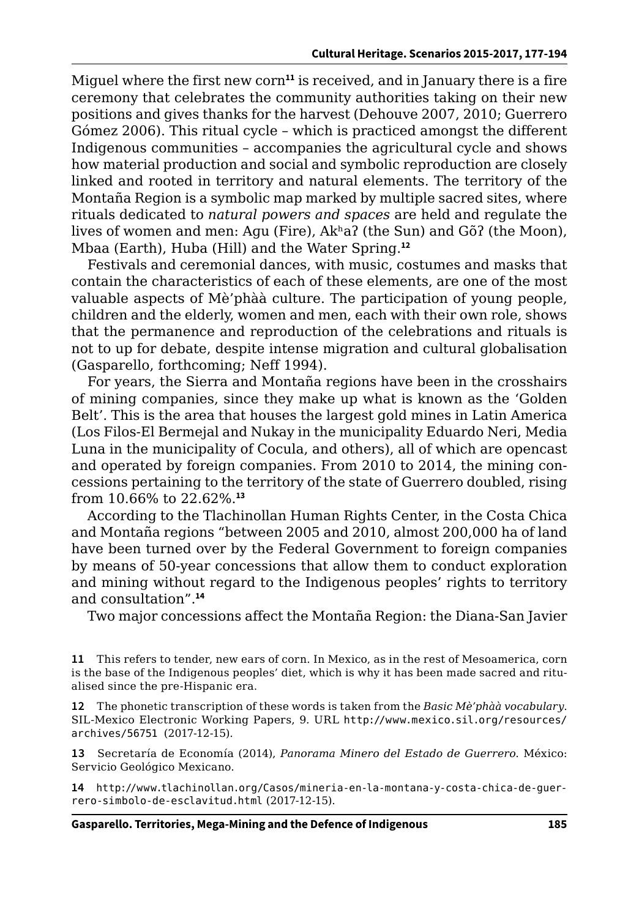Miguel where the first new corn**<sup>11</sup>** is received, and in January there is a fire ceremony that celebrates the community authorities taking on their new positions and gives thanks for the harvest (Dehouve 2007, 2010; Guerrero Gómez 2006). This ritual cycle – which is practiced amongst the different Indigenous communities – accompanies the agricultural cycle and shows how material production and social and symbolic reproduction are closely linked and rooted in territory and natural elements. The territory of the Montaña Region is a symbolic map marked by multiple sacred sites, where rituals dedicated to *natural powers and spaces* are held and regulate the lives of women and men: Aɡu (Fire), Akʰaʔ (the Sun) and Gõʔ (the Moon), Mbaa (Earth), Huba (Hill) and the Water Spring.**<sup>12</sup>**

Festivals and ceremonial dances, with music, costumes and masks that contain the characteristics of each of these elements, are one of the most valuable aspects of Mè'phàà culture. The participation of young people, children and the elderly, women and men, each with their own role, shows that the permanence and reproduction of the celebrations and rituals is not to up for debate, despite intense migration and cultural globalisation (Gasparello, forthcoming; Neff 1994).

For years, the Sierra and Montaña regions have been in the crosshairs of mining companies, since they make up what is known as the 'Golden Belt'. This is the area that houses the largest gold mines in Latin America (Los Filos-El Bermejal and Nukay in the municipality Eduardo Neri, Media Luna in the municipality of Cocula, and others), all of which are opencast and operated by foreign companies. From 2010 to 2014, the mining concessions pertaining to the territory of the state of Guerrero doubled, rising from 10.66% to 22.62%.**<sup>13</sup>**

According to the Tlachinollan Human Rights Center, in the Costa Chica and Montaña regions "between 2005 and 2010, almost 200,000 ha of land have been turned over by the Federal Government to foreign companies by means of 50-year concessions that allow them to conduct exploration and mining without regard to the Indigenous peoples' rights to territory and consultation".**<sup>14</sup>**

Two major concessions affect the Montaña Region: the Diana-San Javier

**11** This refers to tender, new ears of corn. In Mexico, as in the rest of Mesoamerica, corn is the base of the Indigenous peoples' diet, which is why it has been made sacred and ritualised since the pre-Hispanic era.

**12** The phonetic transcription of these words is taken from the *Basic Mè'phàà vocabulary*. SIL-Mexico Electronic Working Papers, 9. URL [http://www.mexico.sil.org/resources/](http://www.mexico.sil.org/resources/archives/56751) [archives/56751](http://www.mexico.sil.org/resources/archives/56751) (2017-12-15).

**13** Secretaría de Economía (2014), *Panorama Minero del Estado de Guerrero*. México: Servicio Geológico Mexicano.

**14** [http://www.tlachinollan.org/Casos/mineria-en-la-montana-y-costa-chica-de-guer](http://www.tlachinollan.org/Casos/mineria-en-la-montana-y-costa-chica-de-guerrero-simbolo-de-esclavitud.html)[rero-simbolo-de-esclavitud.html](http://www.tlachinollan.org/Casos/mineria-en-la-montana-y-costa-chica-de-guerrero-simbolo-de-esclavitud.html) (2017-12-15).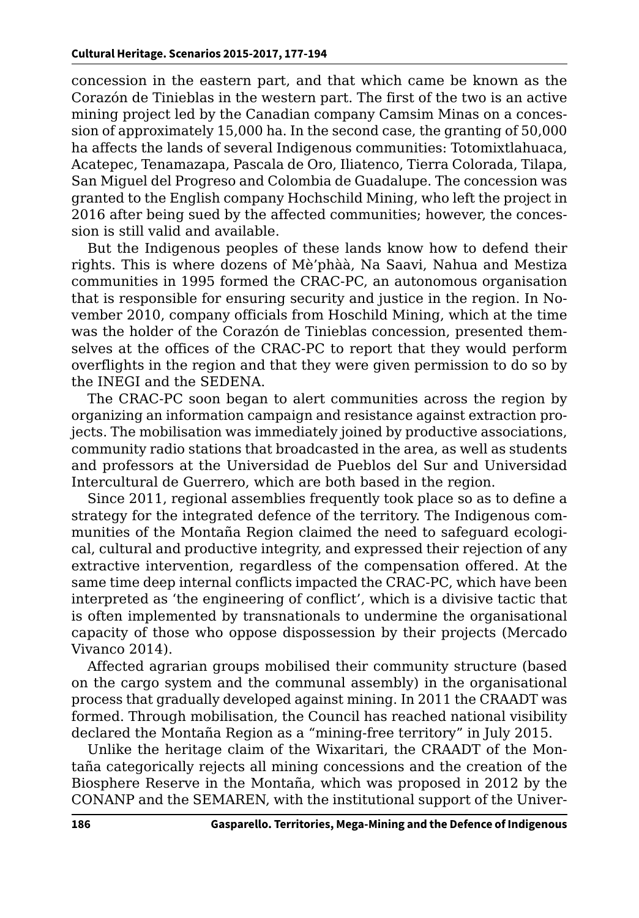concession in the eastern part, and that which came be known as the Corazón de Tinieblas in the western part. The first of the two is an active mining project led by the Canadian company Camsim Minas on a concession of approximately 15,000 ha. In the second case, the granting of 50,000 ha affects the lands of several Indigenous communities: Totomixtlahuaca, Acatepec, Tenamazapa, Pascala de Oro, Iliatenco, Tierra Colorada, Tilapa, San Miguel del Progreso and Colombia de Guadalupe. The concession was granted to the English company Hochschild Mining, who left the project in 2016 after being sued by the affected communities; however, the concession is still valid and available.

But the Indigenous peoples of these lands know how to defend their rights. This is where dozens of Mè'phàà, Na Saavi, Nahua and Mestiza communities in 1995 formed the CRAC-PC, an autonomous organisation that is responsible for ensuring security and justice in the region. In November 2010, company officials from Hoschild Mining, which at the time was the holder of the Corazón de Tinieblas concession, presented themselves at the offices of the CRAC-PC to report that they would perform overflights in the region and that they were given permission to do so by the INEGI and the SEDENA.

The CRAC-PC soon began to alert communities across the region by organizing an information campaign and resistance against extraction projects. The mobilisation was immediately joined by productive associations, community radio stations that broadcasted in the area, as well as students and professors at the Universidad de Pueblos del Sur and Universidad Intercultural de Guerrero, which are both based in the region.

Since 2011, regional assemblies frequently took place so as to define a strategy for the integrated defence of the territory. The Indigenous communities of the Montaña Region claimed the need to safeguard ecological, cultural and productive integrity, and expressed their rejection of any extractive intervention, regardless of the compensation offered. At the same time deep internal conflicts impacted the CRAC-PC, which have been interpreted as 'the engineering of conflict', which is a divisive tactic that is often implemented by transnationals to undermine the organisational capacity of those who oppose dispossession by their projects (Mercado Vivanco 2014).

Affected agrarian groups mobilised their community structure (based on the cargo system and the communal assembly) in the organisational process that gradually developed against mining. In 2011 the CRAADT was formed. Through mobilisation, the Council has reached national visibility declared the Montaña Region as a "mining-free territory" in July 2015.

Unlike the heritage claim of the Wixaritari, the CRAADT of the Montaña categorically rejects all mining concessions and the creation of the Biosphere Reserve in the Montaña, which was proposed in 2012 by the CONANP and the SEMAREN, with the institutional support of the Univer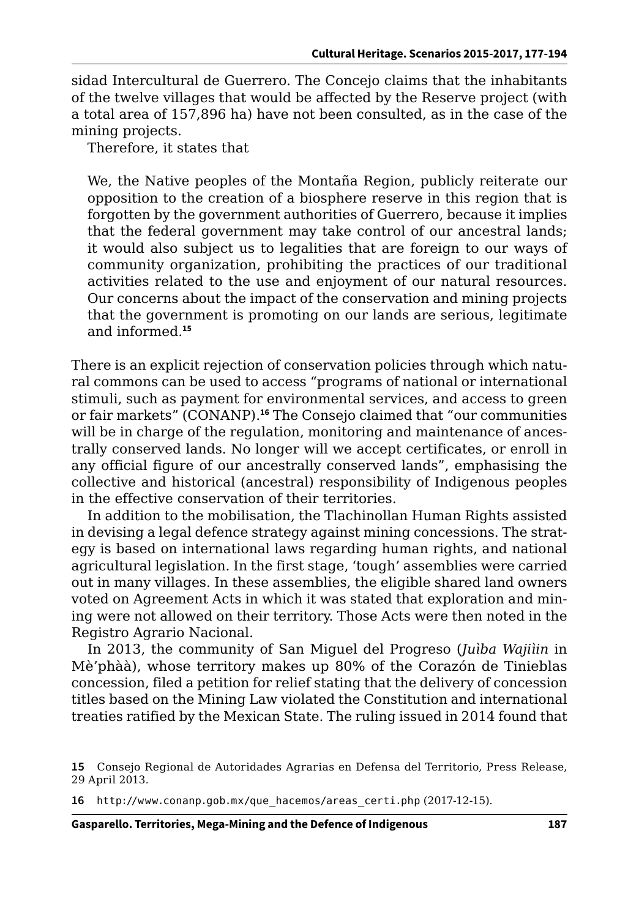sidad Intercultural de Guerrero. The Concejo claims that the inhabitants of the twelve villages that would be affected by the Reserve project (with a total area of 157,896 ha) have not been consulted, as in the case of the mining projects.

Therefore, it states that

We, the Native peoples of the Montaña Region, publicly reiterate our opposition to the creation of a biosphere reserve in this region that is forgotten by the government authorities of Guerrero, because it implies that the federal government may take control of our ancestral lands; it would also subject us to legalities that are foreign to our ways of community organization, prohibiting the practices of our traditional activities related to the use and enjoyment of our natural resources. Our concerns about the impact of the conservation and mining projects that the government is promoting on our lands are serious, legitimate and informed.**<sup>15</sup>**

There is an explicit rejection of conservation policies through which natural commons can be used to access "programs of national or international stimuli, such as payment for environmental services, and access to green or fair markets" (CONANP).**<sup>16</sup>** The Consejo claimed that "our communities will be in charge of the regulation, monitoring and maintenance of ancestrally conserved lands. No longer will we accept certificates, or enroll in any official figure of our ancestrally conserved lands", emphasising the collective and historical (ancestral) responsibility of Indigenous peoples in the effective conservation of their territories.

In addition to the mobilisation, the Tlachinollan Human Rights assisted in devising a legal defence strategy against mining concessions. The strategy is based on international laws regarding human rights, and national agricultural legislation. In the first stage, 'tough' assemblies were carried out in many villages. In these assemblies, the eligible shared land owners voted on Agreement Acts in which it was stated that exploration and mining were not allowed on their territory. Those Acts were then noted in the Registro Agrario Nacional.

In 2013, the community of San Miguel del Progreso (*Juìba Wajiìin* in Mè'phàà), whose territory makes up 80% of the Corazón de Tinieblas concession, filed a petition for relief stating that the delivery of concession titles based on the Mining Law violated the Constitution and international treaties ratified by the Mexican State. The ruling issued in 2014 found that

**16** [http://www.conanp.gob.mx/que\\_hacemos/areas\\_certi.php](http://www.conanp.gob.mx/que_hacemos/areas_certi.php) (2017-12-15).

**Gasparello. Territories, Mega-Mining and the Defence of Indigenous 187**

**<sup>15</sup>** Consejo Regional de Autoridades Agrarias en Defensa del Territorio, Press Release, 29 April 2013.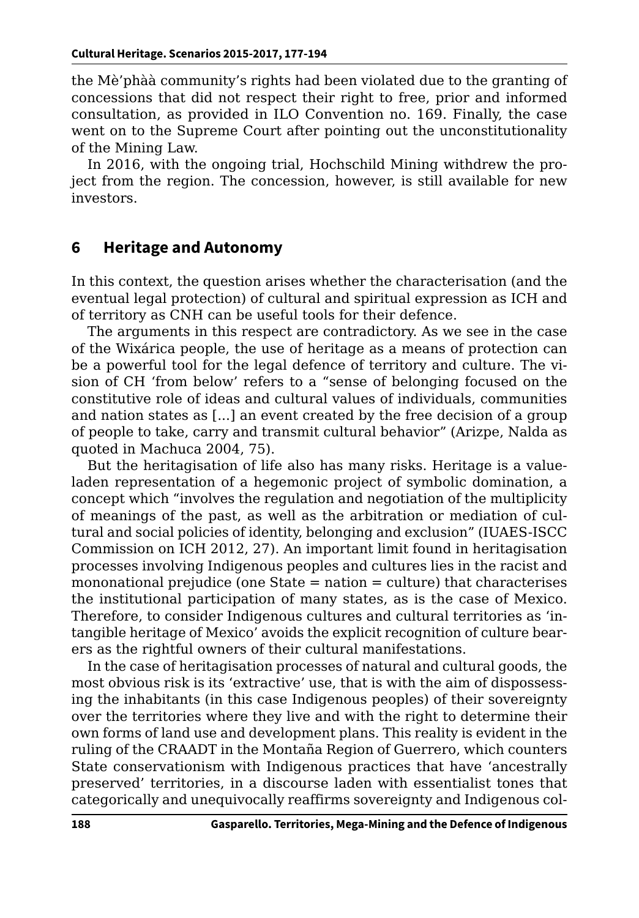the Mè'phàà community's rights had been violated due to the granting of concessions that did not respect their right to free, prior and informed consultation, as provided in ILO Convention no. 169. Finally, the case went on to the Supreme Court after pointing out the unconstitutionality of the Mining Law.

In 2016, with the ongoing trial, Hochschild Mining withdrew the project from the region. The concession, however, is still available for new investors.

#### **6 Heritage and Autonomy**

In this context, the question arises whether the characterisation (and the eventual legal protection) of cultural and spiritual expression as ICH and of territory as CNH can be useful tools for their defence.

The arguments in this respect are contradictory. As we see in the case of the Wixárica people, the use of heritage as a means of protection can be a powerful tool for the legal defence of territory and culture. The vision of CH 'from below' refers to a "sense of belonging focused on the constitutive role of ideas and cultural values of individuals, communities and nation states as [...] an event created by the free decision of a group of people to take, carry and transmit cultural behavior" (Arizpe, Nalda as quoted in Machuca 2004, 75).

But the heritagisation of life also has many risks. Heritage is a valueladen representation of a hegemonic project of symbolic domination, a concept which "involves the regulation and negotiation of the multiplicity of meanings of the past, as well as the arbitration or mediation of cultural and social policies of identity, belonging and exclusion" (IUAES-ISCC Commission on ICH 2012, 27). An important limit found in heritagisation processes involving Indigenous peoples and cultures lies in the racist and mononational prejudice (one State = nation = culture) that characterises the institutional participation of many states, as is the case of Mexico. Therefore, to consider Indigenous cultures and cultural territories as 'intangible heritage of Mexico' avoids the explicit recognition of culture bearers as the rightful owners of their cultural manifestations.

In the case of heritagisation processes of natural and cultural goods, the most obvious risk is its 'extractive' use, that is with the aim of dispossessing the inhabitants (in this case Indigenous peoples) of their sovereignty over the territories where they live and with the right to determine their own forms of land use and development plans. This reality is evident in the ruling of the CRAADT in the Montaña Region of Guerrero, which counters State conservationism with Indigenous practices that have 'ancestrally preserved' territories, in a discourse laden with essentialist tones that categorically and unequivocally reaffirms sovereignty and Indigenous col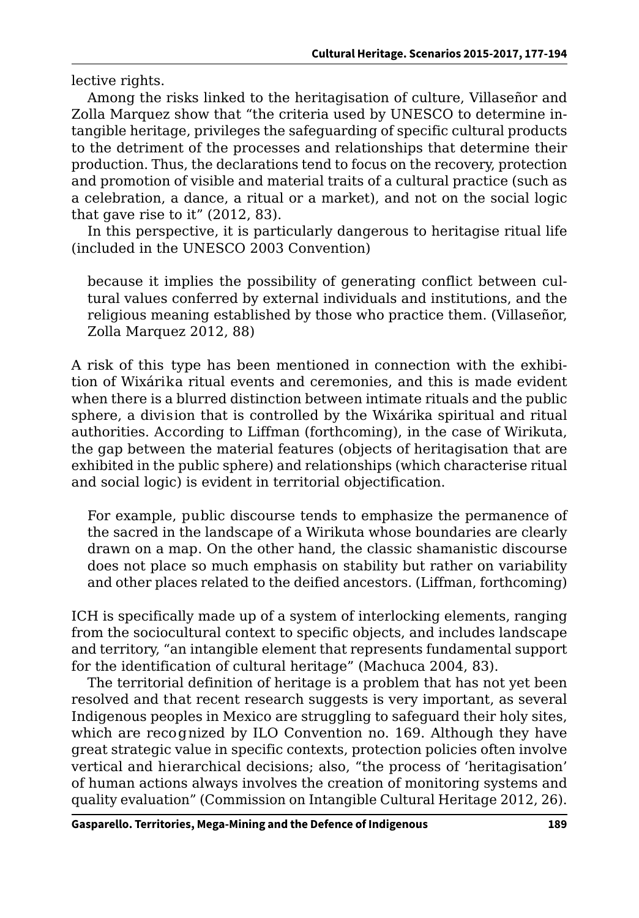lective rights.

Among the risks linked to the heritagisation of culture, Villaseñor and Zolla Marquez show that "the criteria used by UNESCO to determine intangible heritage, privileges the safeguarding of specific cultural products to the detriment of the processes and relationships that determine their production. Thus, the declarations tend to focus on the recovery, protection and promotion of visible and material traits of a cultural practice (such as a celebration, a dance, a ritual or a market), and not on the social logic that gave rise to it" (2012, 83).

In this perspective, it is particularly dangerous to heritagise ritual life (included in the UNESCO 2003 Convention)

because it implies the possibility of generating conflict between cultural values conferred by external individuals and institutions, and the religious meaning established by those who practice them. (Villaseñor, Zolla Marquez 2012, 88)

A risk of this type has been mentioned in connection with the exhibition of Wixárika ritual events and ceremonies, and this is made evident when there is a blurred distinction between intimate rituals and the public sphere, a division that is controlled by the Wixárika spiritual and ritual authorities. According to Liffman (forthcoming), in the case of Wirikuta, the gap between the material features (objects of heritagisation that are exhibited in the public sphere) and relationships (which characterise ritual and social logic) is evident in territorial objectification.

For example, public discourse tends to emphasize the permanence of the sacred in the landscape of a Wirikuta whose boundaries are clearly drawn on a map. On the other hand, the classic shamanistic discourse does not place so much emphasis on stability but rather on variability and other places related to the deified ancestors. (Liffman, forthcoming)

ICH is specifically made up of a system of interlocking elements, ranging from the sociocultural context to specific objects, and includes landscape and territory, "an intangible element that represents fundamental support for the identification of cultural heritage" (Machuca 2004, 83).

The territorial definition of heritage is a problem that has not yet been resolved and that recent research suggests is very important, as several Indigenous peoples in Mexico are struggling to safeguard their holy sites, which are recognized by ILO Convention no. 169. Although they have great strategic value in specific contexts, protection policies often involve vertical and hierarchical decisions; also, "the process of 'heritagisation' of human actions always involves the creation of monitoring systems and quality evaluation" (Commission on Intangible Cultural Heritage 2012, 26).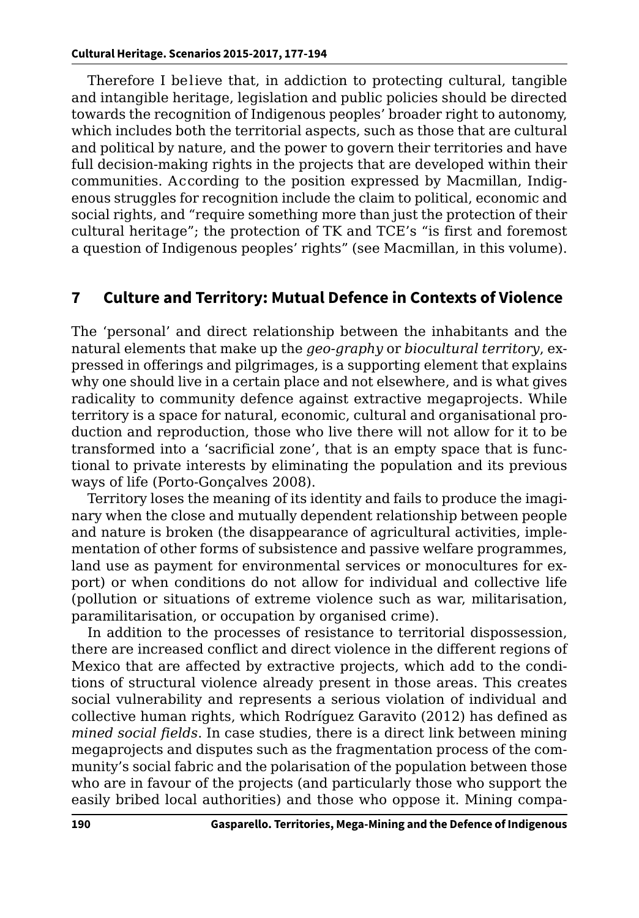Therefore I believe that, in addiction to protecting cultural, tangible and intangible heritage, legislation and public policies should be directed towards the recognition of Indigenous peoples' broader right to autonomy, which includes both the territorial aspects, such as those that are cultural and political by nature, and the power to govern their territories and have full decision-making rights in the projects that are developed within their communities. According to the position expressed by Macmillan, Indigenous struggles for recognition include the claim to political, economic and social rights, and "require something more than just the protection of their cultural heritage"; the protection of TK and TCE's "is first and foremost a question of Indigenous peoples' rights" (see Macmillan, in this volume).

#### **7 Culture and Territory: Mutual Defence in Contexts of Violence**

The 'personal' and direct relationship between the inhabitants and the natural elements that make up the *geo-graphy* or *biocultural territory*, expressed in offerings and pilgrimages, is a supporting element that explains why one should live in a certain place and not elsewhere, and is what gives radicality to community defence against extractive megaprojects. While territory is a space for natural, economic, cultural and organisational production and reproduction, those who live there will not allow for it to be transformed into a 'sacrificial zone', that is an empty space that is functional to private interests by eliminating the population and its previous ways of life (Porto-Gonçalves 2008).

Territory loses the meaning of its identity and fails to produce the imaginary when the close and mutually dependent relationship between people and nature is broken (the disappearance of agricultural activities, implementation of other forms of subsistence and passive welfare programmes, land use as payment for environmental services or monocultures for export) or when conditions do not allow for individual and collective life (pollution or situations of extreme violence such as war, militarisation, paramilitarisation, or occupation by organised crime).

In addition to the processes of resistance to territorial dispossession, there are increased conflict and direct violence in the different regions of Mexico that are affected by extractive projects, which add to the conditions of structural violence already present in those areas. This creates social vulnerability and represents a serious violation of individual and collective human rights, which Rodríguez Garavito (2012) has defined as *mined social fields*. In case studies, there is a direct link between mining megaprojects and disputes such as the fragmentation process of the community's social fabric and the polarisation of the population between those who are in favour of the projects (and particularly those who support the easily bribed local authorities) and those who oppose it. Mining compa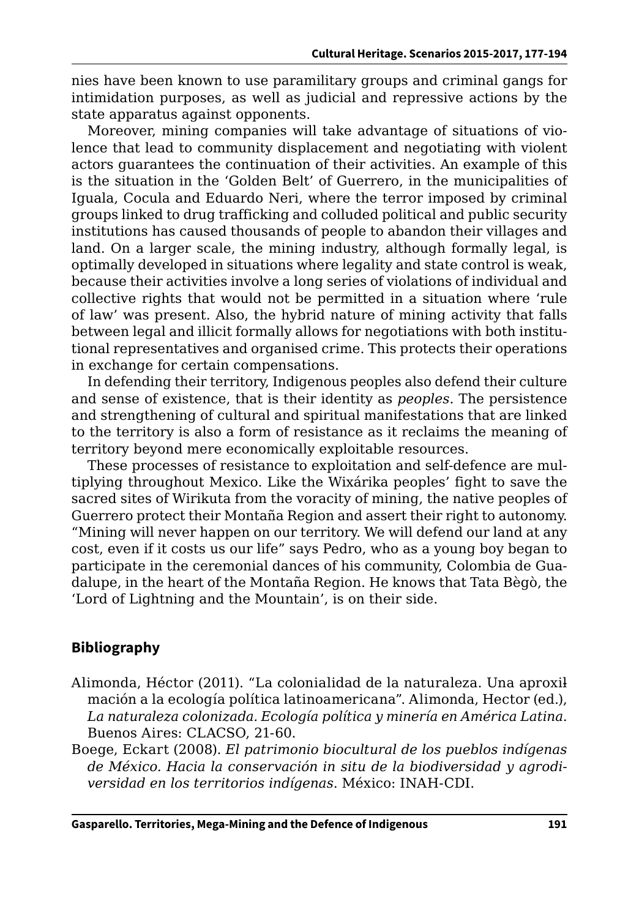nies have been known to use paramilitary groups and criminal gangs for intimidation purposes, as well as judicial and repressive actions by the state apparatus against opponents.

Moreover, mining companies will take advantage of situations of violence that lead to community displacement and negotiating with violent actors guarantees the continuation of their activities. An example of this is the situation in the 'Golden Belt' of Guerrero, in the municipalities of Iguala, Cocula and Eduardo Neri, where the terror imposed by criminal groups linked to drug trafficking and colluded political and public security institutions has caused thousands of people to abandon their villages and land. On a larger scale, the mining industry, although formally legal, is optimally developed in situations where legality and state control is weak, because their activities involve a long series of violations of individual and collective rights that would not be permitted in a situation where 'rule of law' was present. Also, the hybrid nature of mining activity that falls between legal and illicit formally allows for negotiations with both institutional representatives and organised crime. This protects their operations in exchange for certain compensations.

In defending their territory, Indigenous peoples also defend their culture and sense of existence, that is their identity as *peoples*. The persistence and strengthening of cultural and spiritual manifestations that are linked to the territory is also a form of resistance as it reclaims the meaning of territory beyond mere economically exploitable resources.

These processes of resistance to exploitation and self-defence are multiplying throughout Mexico. Like the Wixárika peoples' fight to save the sacred sites of Wirikuta from the voracity of mining, the native peoples of Guerrero protect their Montaña Region and assert their right to autonomy. "Mining will never happen on our territory. We will defend our land at any cost, even if it costs us our life" says Pedro, who as a young boy began to participate in the ceremonial dances of his community, Colombia de Guadalupe, in the heart of the Montaña Region. He knows that Tata Bègò, the 'Lord of Lightning and the Mountain', is on their side.

## **Bibliography**

- Alimonda, Héctor (2011). "La colonialidad de la naturaleza. Una aproxilmación a la ecología política latinoamericana". Alimonda, Hector (ed.), *La naturaleza colonizada. Ecología política y minería en América Latina*. Buenos Aires: CLACSO, 21-60.
- Boege, Eckart (2008). *El patrimonio biocultural de los pueblos indígenas de México. Hacia la conservación in situ de la biodiversidad y agrodiversidad en los territorios indígenas*. México: INAH-CDI.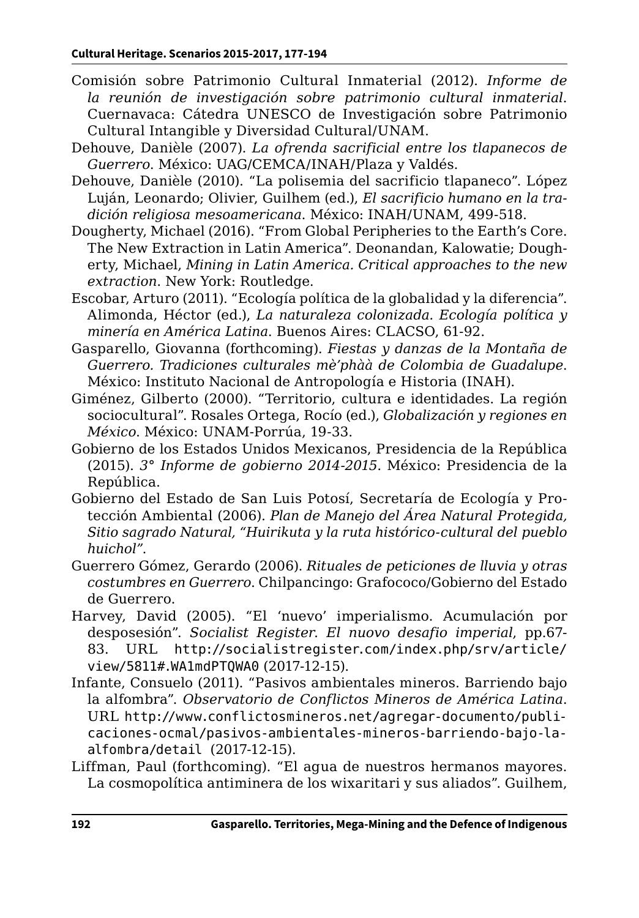- Comisión sobre Patrimonio Cultural Inmaterial (2012). *Informe de la reunión de investigación sobre patrimonio cultural inmaterial*. Cuernavaca: Cátedra UNESCO de Investigación sobre Patrimonio Cultural Intangible y Diversidad Cultural/UNAM.
- Dehouve, Danièle (2007). *La ofrenda sacrificial entre los tlapanecos de Guerrero*. México: UAG/CEMCA/INAH/Plaza y Valdés.
- Dehouve, Danièle (2010). "La polisemia del sacrificio tlapaneco". López Luján, Leonardo; Olivier, Guilhem (ed.), *El sacrificio humano en la tradición religiosa mesoamericana*. México: INAH/UNAM, 499-518.
- Dougherty, Michael (2016). "From Global Peripheries to the Earth's Core. The New Extraction in Latin America". Deonandan, Kalowatie; Dougherty, Michael, *Mining in Latin America. Critical approaches to the new extraction*. New York: Routledge.
- Escobar, Arturo (2011). "Ecología política de la globalidad y la diferencia". Alimonda, Héctor (ed.), *La naturaleza colonizada. Ecología política y minería en América Latina*. Buenos Aires: CLACSO, 61-92.
- Gasparello, Giovanna (forthcoming). *Fiestas y danzas de la Montaña de Guerrero. Tradiciones culturales mè'phàà de Colombia de Guadalupe*. México: Instituto Nacional de Antropología e Historia (INAH).
- Giménez, Gilberto (2000). "Territorio, cultura e identidades. La región sociocultural". Rosales Ortega, Rocío (ed.), *Globalización y regiones en México*. México: UNAM-Porrúa, 19-33.
- Gobierno de los Estados Unidos Mexicanos, Presidencia de la República (2015). *3° Informe de gobierno 2014-2015*. México: Presidencia de la República.
- Gobierno del Estado de San Luis Potosí, Secretaría de Ecología y Protección Ambiental (2006). *Plan de Manejo del Área Natural Protegida, Sitio sagrado Natural, "Huirikuta y la ruta histórico-cultural del pueblo huichol"*.
- Guerrero Gómez, Gerardo (2006). *Rituales de peticiones de lluvia y otras costumbres en Guerrero*. Chilpancingo: Grafococo/Gobierno del Estado de Guerrero.
- Harvey, David (2005). "El 'nuevo' imperialismo. Acumulación por desposesión". *Socialist Register*. *El nuovo desafio imperial*, pp.67- 83. URL [http://socialistregister.com/index.php/srv/article/](http://socialistregister.com/index.php/srv/article/view/5811#.WA1mdPTQWA0) [view/5811#.WA1mdPTQWA0](http://socialistregister.com/index.php/srv/article/view/5811#.WA1mdPTQWA0) (2017-12-15).
- Infante, Consuelo (2011). "Pasivos ambientales mineros. Barriendo bajo la alfombra". *Observatorio de Conflictos Mineros de América Latina*. URL [http://www.conflictosmineros.net/agregar-documento/publi](http://www.conflictosmineros.net/agregar-documento/publicaciones-ocmal/pasivos-ambientales-mineros-barriendo-bajo-la-alfombra/detail )[caciones-ocmal/pasivos-ambientales-mineros-barriendo-bajo-la](http://www.conflictosmineros.net/agregar-documento/publicaciones-ocmal/pasivos-ambientales-mineros-barriendo-bajo-la-alfombra/detail )[alfombra/detail](http://www.conflictosmineros.net/agregar-documento/publicaciones-ocmal/pasivos-ambientales-mineros-barriendo-bajo-la-alfombra/detail ) (2017-12-15).
- Liffman, Paul (forthcoming). "El agua de nuestros hermanos mayores. La cosmopolítica antiminera de los wixaritari y sus aliados". Guilhem,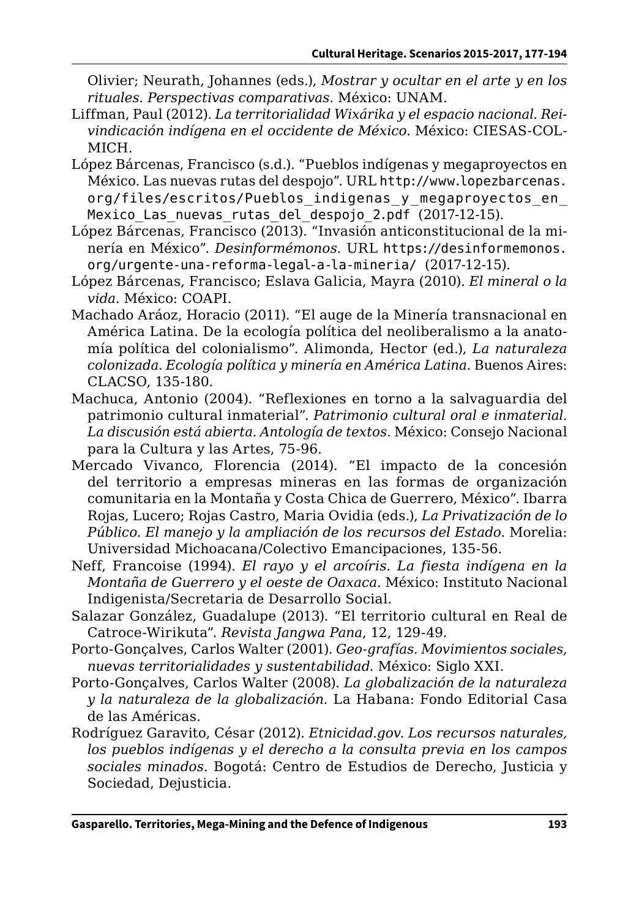Olivier; Neurath, Johannes (eds.), *Mostrar y ocultar en el arte y en los rituales. Perspectivas comparativas*. México: UNAM.

- Liffman, Paul (2012). *La territorialidad Wixárika y el espacio nacional. Reivindicación indígena en el occidente de México*. México: CIESAS-COL-MICH.
- López Bárcenas, Francisco (s.d.). "Pueblos indígenas y megaproyectos en México. Las nuevas rutas del despojo". URL http://www.lopezbarcenas. org/files/escritos/Pueblos indigenas y megaproyectos en Mexico Las nuevas rutas del despojo 2.pdf (2017-12-15).
- López Bárcenas, Francisco (2013). "Invasión anticonstitucional de la minería en México". *Desinformémonos*. URL [https://desinformemonos.](https://desinformemonos.org/urgente-una-reforma-legal-a-la-mineria/ ) [org/urgente-una-reforma-legal-a-la-mineria/](https://desinformemonos.org/urgente-una-reforma-legal-a-la-mineria/ ) (2017-12-15).
- López Bárcenas, Francisco; Eslava Galicia, Mayra (2010). *El mineral o la vida*. México: COAPI.
- Machado Aráoz, Horacio (2011). "El auge de la Minería transnacional en América Latina. De la ecología política del neoliberalismo a la anatomía política del colonialismo". Alimonda, Hector (ed.), *La naturaleza colonizada. Ecología política y minería en América Latina*. Buenos Aires: CLACSO, 135-180.
- Machuca, Antonio (2004). "Reflexiones en torno a la salvaguardia del patrimonio cultural inmaterial". *Patrimonio cultural oral e inmaterial. La discusión está abierta. Antología de textos*. México: Consejo Nacional para la Cultura y las Artes, 75-96.
- Mercado Vivanco, Florencia (2014). "El impacto de la concesión del territorio a empresas mineras en las formas de organización comunitaria en la Montaña y Costa Chica de Guerrero, México". Ibarra Rojas, Lucero; Rojas Castro, Maria Ovidia (eds.), *La Privatización de lo Público. El manejo y la ampliación de los recursos del Estado*. Morelia: Universidad Michoacana/Colectivo Emancipaciones, 135-56.
- Neff, Francoise (1994). *El rayo y el arcoíris. La fiesta indígena en la Montaña de Guerrero y el oeste de Oaxaca*. México: Instituto Nacional Indigenista/Secretaria de Desarrollo Social.
- Salazar González, Guadalupe (2013). "El territorio cultural en Real de Catroce-Wirikuta". *Revista Jangwa Pana*, 12, 129-49.
- Porto-Gonçalves, Carlos Walter (2001). *Geo-grafías. Movimientos sociales, nuevas territorialidades y sustentabilidad*. México: Siglo XXI.
- Porto-Gonçalves, Carlos Walter (2008). *La globalización de la naturaleza y la naturaleza de la globalización*. La Habana: Fondo Editorial Casa de las Américas.
- Rodríguez Garavito, César (2012). *Etnicidad.gov. Los recursos naturales, los pueblos indígenas y el derecho a la consulta previa en los campos sociales minados*. Bogotá: Centro de Estudios de Derecho, Justicia y Sociedad, Dejusticia.